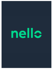# nelle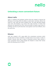

# **Unlocking a more convenient future**

# About nello

nello is a software and hardware solution that was created to improve the efficiency of city living. With the ability to unlock doors remotely, without the need for a key, nello sets these residents free. The nello app gives people more time and freedom to go about their daily business. It means that deliveries are delivered first time, service providers are given easy access to buildings and that city life becomes much greener and more efficient, all at the same time.

### Mission

nello was created to fill a gap within the convenience economy, which actually wasn't all that convenient. If people had to be at home in order to receive a service, then was it really a convenient service? nello unlocks a more convenient future, giving people the freedom to leave their homes while still allowing access to others.

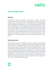

# **How we got there**

# **History**

LOCUMI LABS GmbH was created in May 2014 in Munich. The name stemmed from 'locum' which means 'representative' in Latin, as it was the company's goal to help people free up time by giving them a representative at home that does everything for them. The first product that LOCUMI LABS GmbH created was the LOCUMI parcel bag, which allowed people to send and receive packages from their apartment doorstep. It was at this point that the company realized that keyless access would be a crucial part of this process, in fact it was essential in order for the parcel bag to work at all. With this realization, the parcel bag company was sold to make room for this keyless access solution to take priority. The parcel bag business was sold in September 2015 to Burg-Wächter, who are now working under the parcellock brand.

# Development

nello began its journey on Kickstarter, where the company could validate product market fit. Known as Monkey at this time, nello soon became one of Germany's top ten technology projects on Kickstarter. Monkey was a great name back then because the company initially considered hiring an actual monkey do the job, getting them to sit in your apartment all day. That plan was soon deemed too expensive, given the banana consumption and uncosy nature of monkeys, and therefore the monkey idea was soon replaced with technology. The rebrand to 'nello' was chosen with the thought being "the new hello for the convenience economy". nello soon caught the eye of others, raising a total over EUR 2.5m from leading investors, among others KPN Ventures, SOSV, BMW, HBT and KfW.